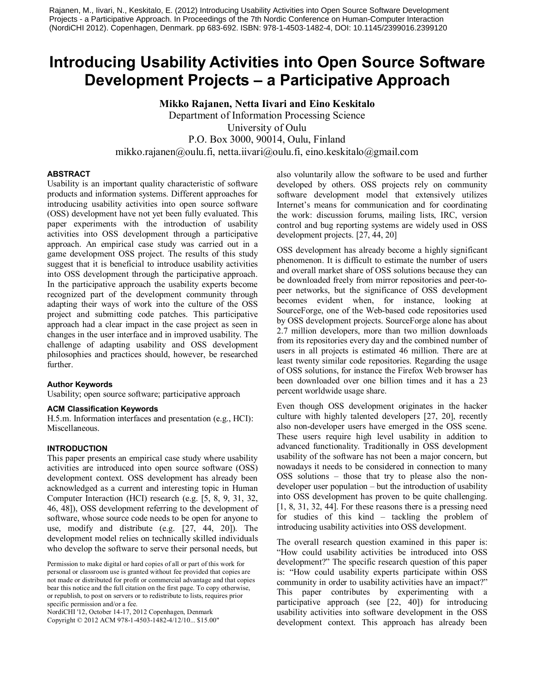Rajanen, M., Iivari, N., Keskitalo, E. (2012) Introducing Usability Activities into Open Source Software Development Projects - a Participative Approach. In Proceedings of the 7th Nordic Conference on Human-Computer Interaction (NordiCHI 2012). Copenhagen, Denmark. pp 683-692. ISBN: 978-1-4503-1482-4, DOI: 10.1145/2399016.2399120

# Introducing Usability Activities into Open Source Software Development Projects – a Participative Approach

Mikko Rajanen, Netta Iivari and Eino Keskitalo Department of Information Processing Science University of Oulu P.O. Box 3000, 90014, Oulu, Finland mikko.rajanen@oulu.fi, netta.iivari@oulu.fi, eino.keskitalo@gmail.com

## **ABSTRACT**

Usability is an important quality characteristic of software products and information systems. Different approaches for introducing usability activities into open source software (OSS) development have not yet been fully evaluated. This paper experiments with the introduction of usability activities into OSS development through a participative approach. An empirical case study was carried out in a game development OSS project. The results of this study suggest that it is beneficial to introduce usability activities into OSS development through the participative approach. In the participative approach the usability experts become recognized part of the development community through adapting their ways of work into the culture of the OSS project and submitting code patches. This participative approach had a clear impact in the case project as seen in changes in the user interface and in improved usability. The challenge of adapting usability and OSS development philosophies and practices should, however, be researched further.

#### Author Keywords

Usability; open source software; participative approach

## ACM Classification Keywords

H.5.m. Information interfaces and presentation (e.g., HCI): Miscellaneous.

#### INTRODUCTION

This paper presents an empirical case study where usability activities are introduced into open source software (OSS) development context. OSS development has already been acknowledged as a current and interesting topic in Human Computer Interaction (HCI) research (e.g. [5, 8, 9, 31, 32, 46, 48]), OSS development referring to the development of software, whose source code needs to be open for anyone to use, modify and distribute (e.g. [27, 44, 20]). The development model relies on technically skilled individuals who develop the software to serve their personal needs, but

NordiCHI '12, October 14-17, 2012 Copenhagen, Denmark Copyright © 2012 ACM 978-1-4503-1482-4/12/10... \$15.00" also voluntarily allow the software to be used and further developed by others. OSS projects rely on community software development model that extensively utilizes Internet's means for communication and for coordinating the work: discussion forums, mailing lists, IRC, version control and bug reporting systems are widely used in OSS development projects. [27, 44, 20]

OSS development has already become a highly significant phenomenon. It is difficult to estimate the number of users and overall market share of OSS solutions because they can be downloaded freely from mirror repositories and peer-topeer networks, but the significance of OSS development becomes evident when, for instance, looking at SourceForge, one of the Web-based code repositories used by OSS development projects. SourceForge alone has about 2.7 million developers, more than two million downloads from its repositories every day and the combined number of users in all projects is estimated 46 million. There are at least twenty similar code repositories. Regarding the usage of OSS solutions, for instance the Firefox Web browser has been downloaded over one billion times and it has a 23 percent worldwide usage share.

Even though OSS development originates in the hacker culture with highly talented developers [27, 20], recently also non-developer users have emerged in the OSS scene. These users require high level usability in addition to advanced functionality. Traditionally in OSS development usability of the software has not been a major concern, but nowadays it needs to be considered in connection to many OSS solutions – those that try to please also the nondeveloper user population – but the introduction of usability into OSS development has proven to be quite challenging. [1, 8, 31, 32, 44]. For these reasons there is a pressing need for studies of this kind – tackling the problem of introducing usability activities into OSS development.

The overall research question examined in this paper is: "How could usability activities be introduced into OSS development?" The specific research question of this paper is: "How could usability experts participate within OSS community in order to usability activities have an impact?" This paper contributes by experimenting with a participative approach (see [22, 40]) for introducing usability activities into software development in the OSS development context. This approach has already been

Permission to make digital or hard copies of all or part of this work for personal or classroom use is granted without fee provided that copies are not made or distributed for profit or commercial advantage and that copies bear this notice and the full citation on the first page. To copy otherwise, or republish, to post on servers or to redistribute to lists, requires prior specific permission and/or a fee.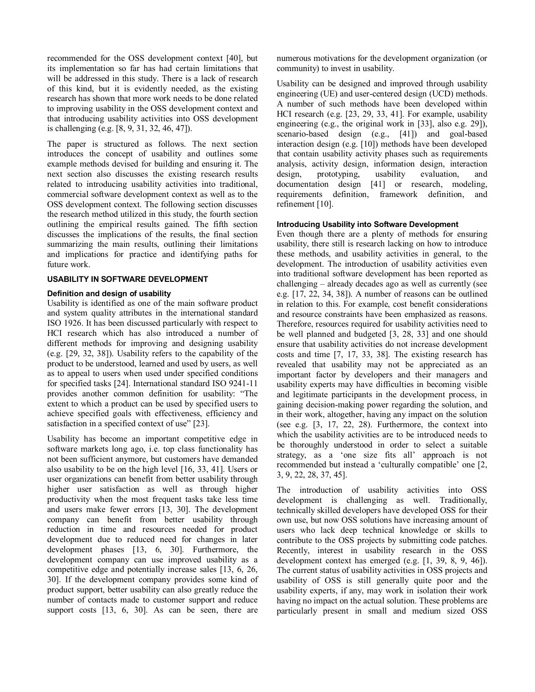recommended for the OSS development context [40], but its implementation so far has had certain limitations that will be addressed in this study. There is a lack of research of this kind, but it is evidently needed, as the existing research has shown that more work needs to be done related to improving usability in the OSS development context and that introducing usability activities into OSS development is challenging (e.g. [8, 9, 31, 32, 46, 47]).

The paper is structured as follows. The next section introduces the concept of usability and outlines some example methods devised for building and ensuring it. The next section also discusses the existing research results related to introducing usability activities into traditional, commercial software development context as well as to the OSS development context. The following section discusses the research method utilized in this study, the fourth section outlining the empirical results gained. The fifth section discusses the implications of the results, the final section summarizing the main results, outlining their limitations and implications for practice and identifying paths for future work.

## USABILITY IN SOFTWARE DEVELOPMENT

## Definition and design of usability

Usability is identified as one of the main software product and system quality attributes in the international standard ISO 1926. It has been discussed particularly with respect to HCI research which has also introduced a number of different methods for improving and designing usability (e.g. [29, 32, 38]). Usability refers to the capability of the product to be understood, learned and used by users, as well as to appeal to users when used under specified conditions for specified tasks [24]. International standard ISO 9241-11 provides another common definition for usability: "The extent to which a product can be used by specified users to achieve specified goals with effectiveness, efficiency and satisfaction in a specified context of use" [23].

Usability has become an important competitive edge in software markets long ago, i.e. top class functionality has not been sufficient anymore, but customers have demanded also usability to be on the high level [16, 33, 41]. Users or user organizations can benefit from better usability through higher user satisfaction as well as through higher productivity when the most frequent tasks take less time and users make fewer errors [13, 30]. The development company can benefit from better usability through reduction in time and resources needed for product development due to reduced need for changes in later development phases [13, 6, 30]. Furthermore, the development company can use improved usability as a competitive edge and potentially increase sales [13, 6, 26, 30]. If the development company provides some kind of product support, better usability can also greatly reduce the number of contacts made to customer support and reduce support costs [13, 6, 30]. As can be seen, there are

numerous motivations for the development organization (or community) to invest in usability.

Usability can be designed and improved through usability engineering (UE) and user-centered design (UCD) methods. A number of such methods have been developed within HCI research (e.g. [23, 29, 33, 41]. For example, usability engineering (e.g., the original work in [33], also e.g. 29]), scenario-based design (e.g., [41]) and goal-based interaction design (e.g. [10]) methods have been developed that contain usability activity phases such as requirements analysis, activity design, information design, interaction design, prototyping, usability evaluation, and documentation design [41] or research, modeling, requirements definition, framework definition, and refinement [10].

## Introducing Usability into Software Development

Even though there are a plenty of methods for ensuring usability, there still is research lacking on how to introduce these methods, and usability activities in general, to the development. The introduction of usability activities even into traditional software development has been reported as challenging – already decades ago as well as currently (see e.g. [17, 22, 34, 38]). A number of reasons can be outlined in relation to this. For example, cost benefit considerations and resource constraints have been emphasized as reasons. Therefore, resources required for usability activities need to be well planned and budgeted [3, 28, 33] and one should ensure that usability activities do not increase development costs and time [7, 17, 33, 38]. The existing research has revealed that usability may not be appreciated as an important factor by developers and their managers and usability experts may have difficulties in becoming visible and legitimate participants in the development process, in gaining decision-making power regarding the solution, and in their work, altogether, having any impact on the solution (see e.g. [3, 17, 22, 28). Furthermore, the context into which the usability activities are to be introduced needs to be thoroughly understood in order to select a suitable strategy, as a 'one size fits all' approach is not recommended but instead a 'culturally compatible' one [2, 3, 9, 22, 28, 37, 45].

The introduction of usability activities into OSS development is challenging as well. Traditionally, technically skilled developers have developed OSS for their own use, but now OSS solutions have increasing amount of users who lack deep technical knowledge or skills to contribute to the OSS projects by submitting code patches. Recently, interest in usability research in the OSS development context has emerged (e.g. [1, 39, 8, 9, 46]). The current status of usability activities in OSS projects and usability of OSS is still generally quite poor and the usability experts, if any, may work in isolation their work having no impact on the actual solution. These problems are particularly present in small and medium sized OSS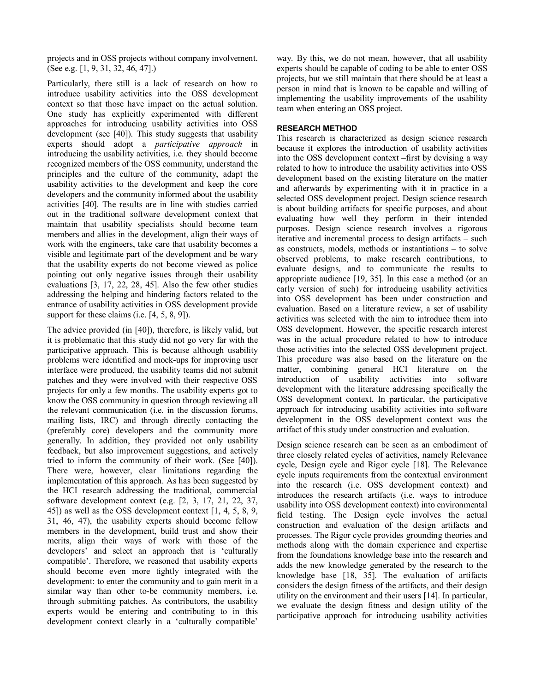projects and in OSS projects without company involvement. (See e.g. [1, 9, 31, 32, 46, 47].)

Particularly, there still is a lack of research on how to introduce usability activities into the OSS development context so that those have impact on the actual solution. One study has explicitly experimented with different approaches for introducing usability activities into OSS development (see [40]). This study suggests that usability experts should adopt a participative approach in introducing the usability activities, i.e. they should become recognized members of the OSS community, understand the principles and the culture of the community, adapt the usability activities to the development and keep the core developers and the community informed about the usability activities [40]. The results are in line with studies carried out in the traditional software development context that maintain that usability specialists should become team members and allies in the development, align their ways of work with the engineers, take care that usability becomes a visible and legitimate part of the development and be wary that the usability experts do not become viewed as police pointing out only negative issues through their usability evaluations [3, 17, 22, 28, 45]. Also the few other studies addressing the helping and hindering factors related to the entrance of usability activities in OSS development provide support for these claims (i.e. [4, 5, 8, 9]).

The advice provided (in [40]), therefore, is likely valid, but it is problematic that this study did not go very far with the participative approach. This is because although usability problems were identified and mock-ups for improving user interface were produced, the usability teams did not submit patches and they were involved with their respective OSS projects for only a few months. The usability experts got to know the OSS community in question through reviewing all the relevant communication (i.e. in the discussion forums, mailing lists, IRC) and through directly contacting the (preferably core) developers and the community more generally. In addition, they provided not only usability feedback, but also improvement suggestions, and actively tried to inform the community of their work. (See [40]). There were, however, clear limitations regarding the implementation of this approach. As has been suggested by the HCI research addressing the traditional, commercial software development context (e.g. [2, 3, 17, 21, 22, 37, 45]) as well as the OSS development context [1, 4, 5, 8, 9, 31, 46, 47), the usability experts should become fellow members in the development, build trust and show their merits, align their ways of work with those of the developers' and select an approach that is 'culturally compatible'. Therefore, we reasoned that usability experts should become even more tightly integrated with the development: to enter the community and to gain merit in a similar way than other to-be community members, i.e. through submitting patches. As contributors, the usability experts would be entering and contributing to in this development context clearly in a 'culturally compatible'

way. By this, we do not mean, however, that all usability experts should be capable of coding to be able to enter OSS projects, but we still maintain that there should be at least a person in mind that is known to be capable and willing of implementing the usability improvements of the usability team when entering an OSS project.

## RESEARCH METHOD

This research is characterized as design science research because it explores the introduction of usability activities into the OSS development context –first by devising a way related to how to introduce the usability activities into OSS development based on the existing literature on the matter and afterwards by experimenting with it in practice in a selected OSS development project. Design science research is about building artifacts for specific purposes, and about evaluating how well they perform in their intended purposes. Design science research involves a rigorous iterative and incremental process to design artifacts – such as constructs, models, methods or instantiations – to solve observed problems, to make research contributions, to evaluate designs, and to communicate the results to appropriate audience [19, 35]. In this case a method (or an early version of such) for introducing usability activities into OSS development has been under construction and evaluation. Based on a literature review, a set of usability activities was selected with the aim to introduce them into OSS development. However, the specific research interest was in the actual procedure related to how to introduce those activities into the selected OSS development project. This procedure was also based on the literature on the matter, combining general HCI literature on the introduction of usability activities into software development with the literature addressing specifically the OSS development context. In particular, the participative approach for introducing usability activities into software development in the OSS development context was the artifact of this study under construction and evaluation.

Design science research can be seen as an embodiment of three closely related cycles of activities, namely Relevance cycle, Design cycle and Rigor cycle [18]. The Relevance cycle inputs requirements from the contextual environment into the research (i.e. OSS development context) and introduces the research artifacts (i.e. ways to introduce usability into OSS development context) into environmental field testing. The Design cycle involves the actual construction and evaluation of the design artifacts and processes. The Rigor cycle provides grounding theories and methods along with the domain experience and expertise from the foundations knowledge base into the research and adds the new knowledge generated by the research to the knowledge base [18, 35]. The evaluation of artifacts considers the design fitness of the artifacts, and their design utility on the environment and their users [14]. In particular, we evaluate the design fitness and design utility of the participative approach for introducing usability activities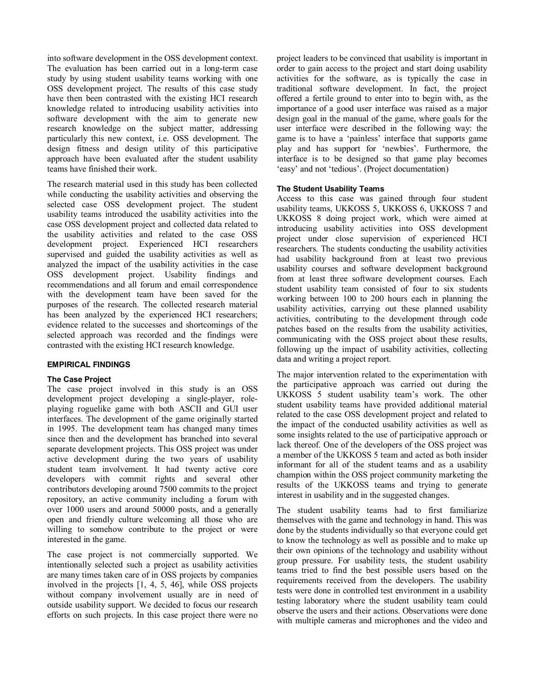into software development in the OSS development context. The evaluation has been carried out in a long-term case study by using student usability teams working with one OSS development project. The results of this case study have then been contrasted with the existing HCI research knowledge related to introducing usability activities into software development with the aim to generate new research knowledge on the subject matter, addressing particularly this new context, i.e. OSS development. The design fitness and design utility of this participative approach have been evaluated after the student usability teams have finished their work.

The research material used in this study has been collected while conducting the usability activities and observing the selected case OSS development project. The student usability teams introduced the usability activities into the case OSS development project and collected data related to the usability activities and related to the case OSS development project. Experienced HCI researchers supervised and guided the usability activities as well as analyzed the impact of the usability activities in the case OSS development project. Usability findings and recommendations and all forum and email correspondence with the development team have been saved for the purposes of the research. The collected research material has been analyzed by the experienced HCI researchers; evidence related to the successes and shortcomings of the selected approach was recorded and the findings were contrasted with the existing HCI research knowledge.

# EMPIRICAL FINDINGS

## The Case Project

The case project involved in this study is an OSS development project developing a single-player, roleplaying roguelike game with both ASCII and GUI user interfaces. The development of the game originally started in 1995. The development team has changed many times since then and the development has branched into several separate development projects. This OSS project was under active development during the two years of usability student team involvement. It had twenty active core developers with commit rights and several other contributors developing around 7500 commits to the project repository, an active community including a forum with over 1000 users and around 50000 posts, and a generally open and friendly culture welcoming all those who are willing to somehow contribute to the project or were interested in the game.

The case project is not commercially supported. We intentionally selected such a project as usability activities are many times taken care of in OSS projects by companies involved in the projects [1, 4, 5, 46], while OSS projects without company involvement usually are in need of outside usability support. We decided to focus our research efforts on such projects. In this case project there were no

project leaders to be convinced that usability is important in order to gain access to the project and start doing usability activities for the software, as is typically the case in traditional software development. In fact, the project offered a fertile ground to enter into to begin with, as the importance of a good user interface was raised as a major design goal in the manual of the game, where goals for the user interface were described in the following way: the game is to have a 'painless' interface that supports game play and has support for 'newbies'. Furthermore, the interface is to be designed so that game play becomes 'easy' and not 'tedious'. (Project documentation)

## The Student Usability Teams

Access to this case was gained through four student usability teams, UKKOSS 5, UKKOSS 6, UKKOSS 7 and UKKOSS 8 doing project work, which were aimed at introducing usability activities into OSS development project under close supervision of experienced HCI researchers. The students conducting the usability activities had usability background from at least two previous usability courses and software development background from at least three software development courses. Each student usability team consisted of four to six students working between 100 to 200 hours each in planning the usability activities, carrying out these planned usability activities, contributing to the development through code patches based on the results from the usability activities, communicating with the OSS project about these results, following up the impact of usability activities, collecting data and writing a project report.

The major intervention related to the experimentation with the participative approach was carried out during the UKKOSS 5 student usability team's work. The other student usability teams have provided additional material related to the case OSS development project and related to the impact of the conducted usability activities as well as some insights related to the use of participative approach or lack thereof. One of the developers of the OSS project was a member of the UKKOSS 5 team and acted as both insider informant for all of the student teams and as a usability champion within the OSS project community marketing the results of the UKKOSS teams and trying to generate interest in usability and in the suggested changes.

The student usability teams had to first familiarize themselves with the game and technology in hand. This was done by the students individually so that everyone could get to know the technology as well as possible and to make up their own opinions of the technology and usability without group pressure. For usability tests, the student usability teams tried to find the best possible users based on the requirements received from the developers. The usability tests were done in controlled test environment in a usability testing laboratory where the student usability team could observe the users and their actions. Observations were done with multiple cameras and microphones and the video and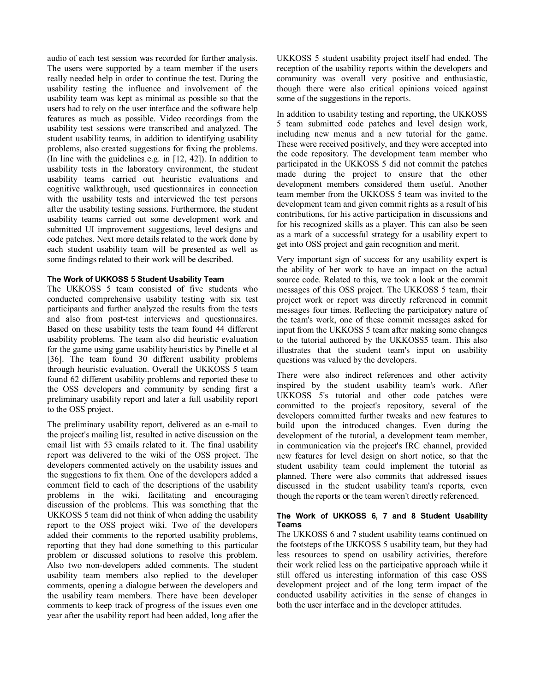audio of each test session was recorded for further analysis. The users were supported by a team member if the users really needed help in order to continue the test. During the usability testing the influence and involvement of the usability team was kept as minimal as possible so that the users had to rely on the user interface and the software help features as much as possible. Video recordings from the usability test sessions were transcribed and analyzed. The student usability teams, in addition to identifying usability problems, also created suggestions for fixing the problems. (In line with the guidelines e.g. in [12, 42]). In addition to usability tests in the laboratory environment, the student usability teams carried out heuristic evaluations and cognitive walkthrough, used questionnaires in connection with the usability tests and interviewed the test persons after the usability testing sessions. Furthermore, the student usability teams carried out some development work and submitted UI improvement suggestions, level designs and code patches. Next more details related to the work done by each student usability team will be presented as well as some findings related to their work will be described.

## The Work of UKKOSS 5 Student Usability Team

The UKKOSS 5 team consisted of five students who conducted comprehensive usability testing with six test participants and further analyzed the results from the tests and also from post-test interviews and questionnaires. Based on these usability tests the team found 44 different usability problems. The team also did heuristic evaluation for the game using game usability heuristics by Pinelle et al [36]. The team found 30 different usability problems through heuristic evaluation. Overall the UKKOSS 5 team found 62 different usability problems and reported these to the OSS developers and community by sending first a preliminary usability report and later a full usability report to the OSS project.

The preliminary usability report, delivered as an e-mail to the project's mailing list, resulted in active discussion on the email list with 53 emails related to it. The final usability report was delivered to the wiki of the OSS project. The developers commented actively on the usability issues and the suggestions to fix them. One of the developers added a comment field to each of the descriptions of the usability problems in the wiki, facilitating and encouraging discussion of the problems. This was something that the UKKOSS 5 team did not think of when adding the usability report to the OSS project wiki. Two of the developers added their comments to the reported usability problems, reporting that they had done something to this particular problem or discussed solutions to resolve this problem. Also two non-developers added comments. The student usability team members also replied to the developer comments, opening a dialogue between the developers and the usability team members. There have been developer comments to keep track of progress of the issues even one year after the usability report had been added, long after the UKKOSS 5 student usability project itself had ended. The reception of the usability reports within the developers and community was overall very positive and enthusiastic, though there were also critical opinions voiced against some of the suggestions in the reports.

In addition to usability testing and reporting, the UKKOSS 5 team submitted code patches and level design work, including new menus and a new tutorial for the game. These were received positively, and they were accepted into the code repository. The development team member who participated in the UKKOSS 5 did not commit the patches made during the project to ensure that the other development members considered them useful. Another team member from the UKKOSS 5 team was invited to the development team and given commit rights as a result of his contributions, for his active participation in discussions and for his recognized skills as a player. This can also be seen as a mark of a successful strategy for a usability expert to get into OSS project and gain recognition and merit.

Very important sign of success for any usability expert is the ability of her work to have an impact on the actual source code. Related to this, we took a look at the commit messages of this OSS project. The UKKOSS 5 team, their project work or report was directly referenced in commit messages four times. Reflecting the participatory nature of the team's work, one of these commit messages asked for input from the UKKOSS 5 team after making some changes to the tutorial authored by the UKKOSS5 team. This also illustrates that the student team's input on usability questions was valued by the developers.

There were also indirect references and other activity inspired by the student usability team's work. After UKKOSS 5's tutorial and other code patches were committed to the project's repository, several of the developers committed further tweaks and new features to build upon the introduced changes. Even during the development of the tutorial, a development team member, in communication via the project's IRC channel, provided new features for level design on short notice, so that the student usability team could implement the tutorial as planned. There were also commits that addressed issues discussed in the student usability team's reports, even though the reports or the team weren't directly referenced.

## The Work of UKKOSS 6, 7 and 8 Student Usability Teams

The UKKOSS 6 and 7 student usability teams continued on the footsteps of the UKKOSS 5 usability team, but they had less resources to spend on usability activities, therefore their work relied less on the participative approach while it still offered us interesting information of this case OSS development project and of the long term impact of the conducted usability activities in the sense of changes in both the user interface and in the developer attitudes.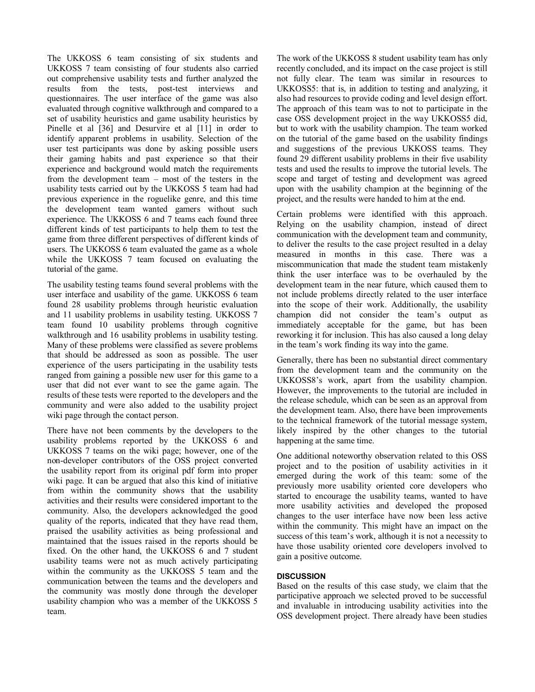The UKKOSS 6 team consisting of six students and UKKOSS 7 team consisting of four students also carried out comprehensive usability tests and further analyzed the results from the tests, post-test interviews and questionnaires. The user interface of the game was also evaluated through cognitive walkthrough and compared to a set of usability heuristics and game usability heuristics by Pinelle et al [36] and Desurvire et al [11] in order to identify apparent problems in usability. Selection of the user test participants was done by asking possible users their gaming habits and past experience so that their experience and background would match the requirements from the development team – most of the testers in the usability tests carried out by the UKKOSS 5 team had had previous experience in the roguelike genre, and this time the development team wanted gamers without such experience. The UKKOSS 6 and 7 teams each found three different kinds of test participants to help them to test the game from three different perspectives of different kinds of users. The UKKOSS 6 team evaluated the game as a whole while the UKKOSS 7 team focused on evaluating the tutorial of the game.

The usability testing teams found several problems with the user interface and usability of the game. UKKOSS 6 team found 28 usability problems through heuristic evaluation and 11 usability problems in usability testing. UKKOSS 7 team found 10 usability problems through cognitive walkthrough and 16 usability problems in usability testing. Many of these problems were classified as severe problems that should be addressed as soon as possible. The user experience of the users participating in the usability tests ranged from gaining a possible new user for this game to a user that did not ever want to see the game again. The results of these tests were reported to the developers and the community and were also added to the usability project wiki page through the contact person.

There have not been comments by the developers to the usability problems reported by the UKKOSS 6 and UKKOSS 7 teams on the wiki page; however, one of the non-developer contributors of the OSS project converted the usability report from its original pdf form into proper wiki page. It can be argued that also this kind of initiative from within the community shows that the usability activities and their results were considered important to the community. Also, the developers acknowledged the good quality of the reports, indicated that they have read them, praised the usability activities as being professional and maintained that the issues raised in the reports should be fixed. On the other hand, the UKKOSS 6 and 7 student usability teams were not as much actively participating within the community as the UKKOSS 5 team and the communication between the teams and the developers and the community was mostly done through the developer usability champion who was a member of the UKKOSS 5 team.

The work of the UKKOSS 8 student usability team has only recently concluded, and its impact on the case project is still not fully clear. The team was similar in resources to UKKOSS5: that is, in addition to testing and analyzing, it also had resources to provide coding and level design effort. The approach of this team was to not to participate in the case OSS development project in the way UKKOSS5 did, but to work with the usability champion. The team worked on the tutorial of the game based on the usability findings and suggestions of the previous UKKOSS teams. They found 29 different usability problems in their five usability tests and used the results to improve the tutorial levels. The scope and target of testing and development was agreed upon with the usability champion at the beginning of the project, and the results were handed to him at the end.

Certain problems were identified with this approach. Relying on the usability champion, instead of direct communication with the development team and community, to deliver the results to the case project resulted in a delay measured in months in this case. There was a miscommunication that made the student team mistakenly think the user interface was to be overhauled by the development team in the near future, which caused them to not include problems directly related to the user interface into the scope of their work. Additionally, the usability champion did not consider the team's output as immediately acceptable for the game, but has been reworking it for inclusion. This has also caused a long delay in the team's work finding its way into the game.

Generally, there has been no substantial direct commentary from the development team and the community on the UKKOSS8's work, apart from the usability champion. However, the improvements to the tutorial are included in the release schedule, which can be seen as an approval from the development team. Also, there have been improvements to the technical framework of the tutorial message system, likely inspired by the other changes to the tutorial happening at the same time.

One additional noteworthy observation related to this OSS project and to the position of usability activities in it emerged during the work of this team: some of the previously more usability oriented core developers who started to encourage the usability teams, wanted to have more usability activities and developed the proposed changes to the user interface have now been less active within the community. This might have an impact on the success of this team's work, although it is not a necessity to have those usability oriented core developers involved to gain a positive outcome.

# **DISCUSSION**

Based on the results of this case study, we claim that the participative approach we selected proved to be successful and invaluable in introducing usability activities into the OSS development project. There already have been studies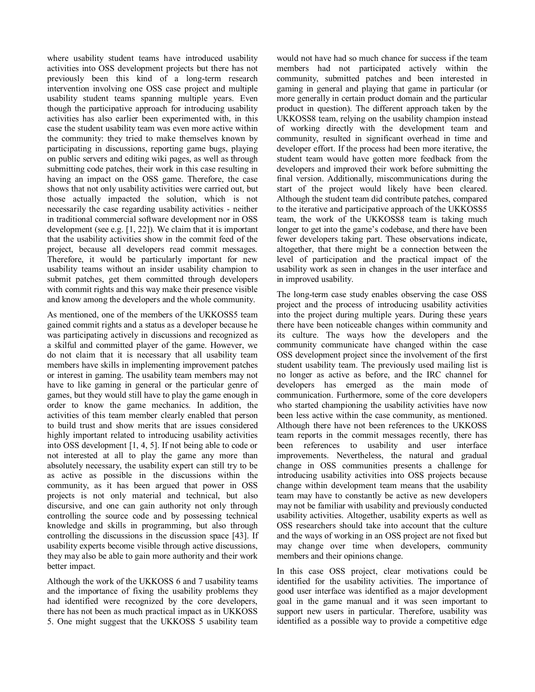where usability student teams have introduced usability activities into OSS development projects but there has not previously been this kind of a long-term research intervention involving one OSS case project and multiple usability student teams spanning multiple years. Even though the participative approach for introducing usability activities has also earlier been experimented with, in this case the student usability team was even more active within the community: they tried to make themselves known by participating in discussions, reporting game bugs, playing on public servers and editing wiki pages, as well as through submitting code patches, their work in this case resulting in having an impact on the OSS game. Therefore, the case shows that not only usability activities were carried out, but those actually impacted the solution, which is not necessarily the case regarding usability activities - neither in traditional commercial software development nor in OSS development (see e.g. [1, 22]). We claim that it is important that the usability activities show in the commit feed of the project, because all developers read commit messages. Therefore, it would be particularly important for new usability teams without an insider usability champion to submit patches, get them committed through developers with commit rights and this way make their presence visible and know among the developers and the whole community.

As mentioned, one of the members of the UKKOSS5 team gained commit rights and a status as a developer because he was participating actively in discussions and recognized as a skilful and committed player of the game. However, we do not claim that it is necessary that all usability team members have skills in implementing improvement patches or interest in gaming. The usability team members may not have to like gaming in general or the particular genre of games, but they would still have to play the game enough in order to know the game mechanics. In addition, the activities of this team member clearly enabled that person to build trust and show merits that are issues considered highly important related to introducing usability activities into OSS development [1, 4, 5]. If not being able to code or not interested at all to play the game any more than absolutely necessary, the usability expert can still try to be as active as possible in the discussions within the community, as it has been argued that power in OSS projects is not only material and technical, but also discursive, and one can gain authority not only through controlling the source code and by possessing technical knowledge and skills in programming, but also through controlling the discussions in the discussion space [43]. If usability experts become visible through active discussions, they may also be able to gain more authority and their work better impact.

Although the work of the UKKOSS 6 and 7 usability teams and the importance of fixing the usability problems they had identified were recognized by the core developers, there has not been as much practical impact as in UKKOSS 5. One might suggest that the UKKOSS 5 usability team would not have had so much chance for success if the team members had not participated actively within the community, submitted patches and been interested in gaming in general and playing that game in particular (or more generally in certain product domain and the particular product in question). The different approach taken by the UKKOSS8 team, relying on the usability champion instead of working directly with the development team and community, resulted in significant overhead in time and developer effort. If the process had been more iterative, the student team would have gotten more feedback from the developers and improved their work before submitting the final version. Additionally, miscommunications during the start of the project would likely have been cleared. Although the student team did contribute patches, compared to the iterative and participative approach of the UKKOSS5 team, the work of the UKKOSS8 team is taking much longer to get into the game's codebase, and there have been fewer developers taking part. These observations indicate, altogether, that there might be a connection between the level of participation and the practical impact of the usability work as seen in changes in the user interface and in improved usability.

The long-term case study enables observing the case OSS project and the process of introducing usability activities into the project during multiple years. During these years there have been noticeable changes within community and its culture. The ways how the developers and the community communicate have changed within the case OSS development project since the involvement of the first student usability team. The previously used mailing list is no longer as active as before, and the IRC channel for developers has emerged as the main mode of communication. Furthermore, some of the core developers who started championing the usability activities have now been less active within the case community, as mentioned. Although there have not been references to the UKKOSS team reports in the commit messages recently, there has been references to usability and user interface improvements. Nevertheless, the natural and gradual change in OSS communities presents a challenge for introducing usability activities into OSS projects because change within development team means that the usability team may have to constantly be active as new developers may not be familiar with usability and previously conducted usability activities. Altogether, usability experts as well as OSS researchers should take into account that the culture and the ways of working in an OSS project are not fixed but may change over time when developers, community members and their opinions change.

In this case OSS project, clear motivations could be identified for the usability activities. The importance of good user interface was identified as a major development goal in the game manual and it was seen important to support new users in particular. Therefore, usability was identified as a possible way to provide a competitive edge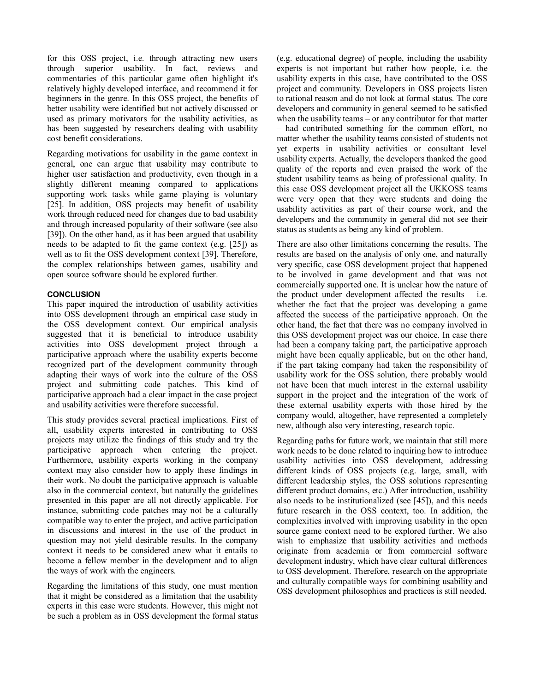for this OSS project, i.e. through attracting new users through superior usability. In fact, reviews and commentaries of this particular game often highlight it's relatively highly developed interface, and recommend it for beginners in the genre. In this OSS project, the benefits of better usability were identified but not actively discussed or used as primary motivators for the usability activities, as has been suggested by researchers dealing with usability cost benefit considerations.

Regarding motivations for usability in the game context in general, one can argue that usability may contribute to higher user satisfaction and productivity, even though in a slightly different meaning compared to applications supporting work tasks while game playing is voluntary [25]. In addition, OSS projects may benefit of usability work through reduced need for changes due to bad usability and through increased popularity of their software (see also [39]). On the other hand, as it has been argued that usability needs to be adapted to fit the game context (e.g. [25]) as well as to fit the OSS development context [39]. Therefore, the complex relationships between games, usability and open source software should be explored further.

## **CONCLUSION**

This paper inquired the introduction of usability activities into OSS development through an empirical case study in the OSS development context. Our empirical analysis suggested that it is beneficial to introduce usability activities into OSS development project through a participative approach where the usability experts become recognized part of the development community through adapting their ways of work into the culture of the OSS project and submitting code patches. This kind of participative approach had a clear impact in the case project and usability activities were therefore successful.

This study provides several practical implications. First of all, usability experts interested in contributing to OSS projects may utilize the findings of this study and try the participative approach when entering the project. Furthermore, usability experts working in the company context may also consider how to apply these findings in their work. No doubt the participative approach is valuable also in the commercial context, but naturally the guidelines presented in this paper are all not directly applicable. For instance, submitting code patches may not be a culturally compatible way to enter the project, and active participation in discussions and interest in the use of the product in question may not yield desirable results. In the company context it needs to be considered anew what it entails to become a fellow member in the development and to align the ways of work with the engineers.

Regarding the limitations of this study, one must mention that it might be considered as a limitation that the usability experts in this case were students. However, this might not be such a problem as in OSS development the formal status (e.g. educational degree) of people, including the usability experts is not important but rather how people, i.e. the usability experts in this case, have contributed to the OSS project and community. Developers in OSS projects listen to rational reason and do not look at formal status. The core developers and community in general seemed to be satisfied when the usability teams – or any contributor for that matter – had contributed something for the common effort, no matter whether the usability teams consisted of students not yet experts in usability activities or consultant level usability experts. Actually, the developers thanked the good quality of the reports and even praised the work of the student usability teams as being of professional quality. In this case OSS development project all the UKKOSS teams were very open that they were students and doing the usability activities as part of their course work, and the developers and the community in general did not see their status as students as being any kind of problem.

There are also other limitations concerning the results. The results are based on the analysis of only one, and naturally very specific, case OSS development project that happened to be involved in game development and that was not commercially supported one. It is unclear how the nature of the product under development affected the results  $-$  i.e. whether the fact that the project was developing a game affected the success of the participative approach. On the other hand, the fact that there was no company involved in this OSS development project was our choice. In case there had been a company taking part, the participative approach might have been equally applicable, but on the other hand, if the part taking company had taken the responsibility of usability work for the OSS solution, there probably would not have been that much interest in the external usability support in the project and the integration of the work of these external usability experts with those hired by the company would, altogether, have represented a completely new, although also very interesting, research topic.

Regarding paths for future work, we maintain that still more work needs to be done related to inquiring how to introduce usability activities into OSS development, addressing different kinds of OSS projects (e.g. large, small, with different leadership styles, the OSS solutions representing different product domains, etc.) After introduction, usability also needs to be institutionalized (see [45]), and this needs future research in the OSS context, too. In addition, the complexities involved with improving usability in the open source game context need to be explored further. We also wish to emphasize that usability activities and methods originate from academia or from commercial software development industry, which have clear cultural differences to OSS development. Therefore, research on the appropriate and culturally compatible ways for combining usability and OSS development philosophies and practices is still needed.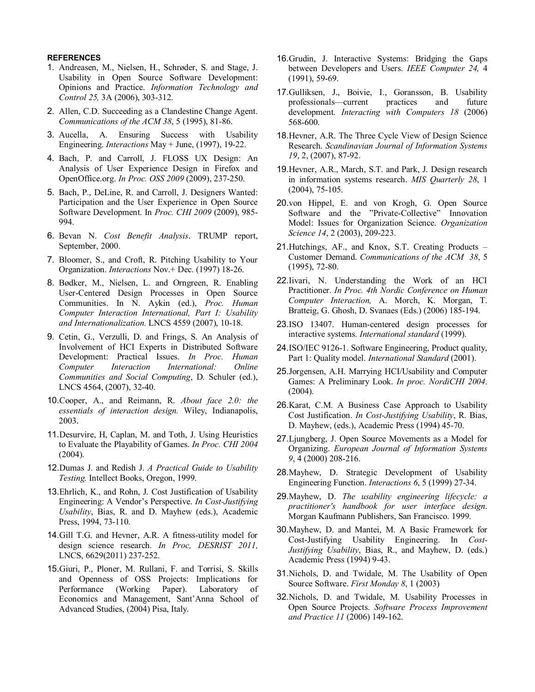#### **REFERENCES**

- 1. Andreasen, M., Nielsen, H., Schrøder, S. and Stage, J. Usability in Open Source Software Development: Opinions and Practice. Information Technology and Control 25, 3A (2006), 303-312.
- 2. Allen, C.D. Succeeding as a Clandestine Change Agent. Communications of the ACM 38, 5 (1995), 81-86.
- 3. Aucella, A. Ensuring Success with Usability Engineering. Interactions May + June, (1997), 19-22.
- 4. Bach, P. and Carroll, J. FLOSS UX Design: An Analysis of User Experience Design in Firefox and OpenOffice.org. In Proc. OSS 2009 (2009), 237-250.
- 5. Bach, P., DeLine, R. and Carroll, J. Designers Wanted: Participation and the User Experience in Open Source Software Development. In Proc. CHI 2009 (2009), 985- 994.
- 6. Bevan N. Cost Benefit Analysis. TRUMP report, September, 2000.
- 7. Bloomer, S., and Croft, R. Pitching Usability to Your Organization. Interactions Nov.+ Dec. (1997) 18-26.
- 8. Bødker, M., Nielsen, L. and Orngreen, R. Enabling User-Centered Design Processes in Open Source Communities. In N. Aykin (ed.), Proc. Human Computer Interaction International, Part I: Usability and Internationalization. LNCS 4559 (2007), 10-18.
- 9. Cetin, G., Verzulli, D. and Frings, S. An Analysis of Involvement of HCI Experts in Distributed Software Development: Practical Issues. In Proc. Human Computer Interaction International: Online Communities and Social Computing, D. Schuler (ed.), LNCS 4564, (2007), 32-40.
- 10.Cooper, A., and Reimann, R. About face 2.0: the essentials of interaction design. Wiley, Indianapolis, 2003.
- 11.Desurvire, H, Caplan, M. and Toth, J. Using Heuristics to Evaluate the Playability of Games. In Proc. CHI 2004 (2004).
- 12. Dumas J. and Redish J. A Practical Guide to Usability Testing. Intellect Books, Oregon, 1999.
- 13.Ehrlich, K., and Rohn, J. Cost Justification of Usability Engineering: A Vendor's Perspective. In Cost-Justifying Usability, Bias, R. and D. Mayhew (eds.), Academic Press, 1994, 73-110.
- 14.Gill T.G. and Hevner, A.R. A fitness-utility model for design science research. In Proc, DESRIST 2011, LNCS, 6629(2011) 237-252.
- 15.Giuri, P., Ploner, M. Rullani, F. and Torrisi, S. Skills and Openness of OSS Projects: Implications for Performance (Working Paper). Laboratory of Economics and Management, Sant'Anna School of Advanced Studies, (2004) Pisa, Italy.
- 16.Grudin, J. Interactive Systems: Bridging the Gaps between Developers and Users. IEEE Computer 24, 4 (1991), 59-69.
- 17.Gulliksen, J., Boivie, I., Goransson, B. Usability professionals—current practices and future development. Interacting with Computers 18 (2006) 568-600.
- 18.Hevner, A.R. The Three Cycle View of Design Science Research. Scandinavian Journal of Information Systems 19, 2, (2007), 87-92.
- 19.Hevner, A.R., March, S.T. and Park, J. Design research in information systems research. MIS Quarterly 28, 1 (2004), 75-105.
- 20.von Hippel, E. and von Krogh, G. Open Source Software and the "Private-Collective" Innovation Model: Issues for Organization Science. Organization Science 14, 2 (2003), 209-223.
- 21.Hutchings, AF., and Knox, S.T. Creating Products Customer Demand. Communications of the ACM 38, 5 (1995), 72-80.
- 22.Iivari, N. Understanding the Work of an HCI Practitioner. In Proc. 4th Nordic Conference on Human Computer Interaction, A. Morch, K. Morgan, T. Bratteig, G. Ghosh, D. Svanaes (Eds.) (2006) 185-194.
- 23.ISO 13407. Human-centered design processes for interactive systems. International standard (1999).
- 24.ISO/IEC 9126-1. Software Engineering, Product quality, Part 1: Quality model. International Standard (2001).
- 25.Jorgensen, A.H. Marrying HCI/Usability and Computer Games: A Preliminary Look. In proc. NordiCHI 2004. (2004).
- 26.Karat, C.M. A Business Case Approach to Usability Cost Justification. In Cost-Justifying Usability, R. Bias, D. Mayhew, (eds.), Academic Press (1994) 45-70.
- 27.Ljungberg, J. Open Source Movements as a Model for Organizing. European Journal of Information Systems 9, 4 (2000) 208-216.
- 28.Mayhew, D. Strategic Development of Usability Engineering Function. Interactions 6, 5 (1999) 27-34.
- 29.Mayhew, D. The usability engineering lifecycle: a practitioner's handbook for user interface design. Morgan Kaufmann Publishers, San Francisco. 1999.
- 30.Mayhew, D. and Mantei, M. A Basic Framework for Cost-Justifying Usability Engineering. In Cost-Justifying Usability, Bias, R., and Mayhew, D. (eds.) Academic Press (1994) 9-43.
- 31.Nichols, D. and Twidale, M. The Usability of Open Source Software. First Monday 8, 1 (2003)
- 32.Nichols, D. and Twidale, M. Usability Processes in Open Source Projects. Software Process Improvement and Practice 11 (2006) 149-162.